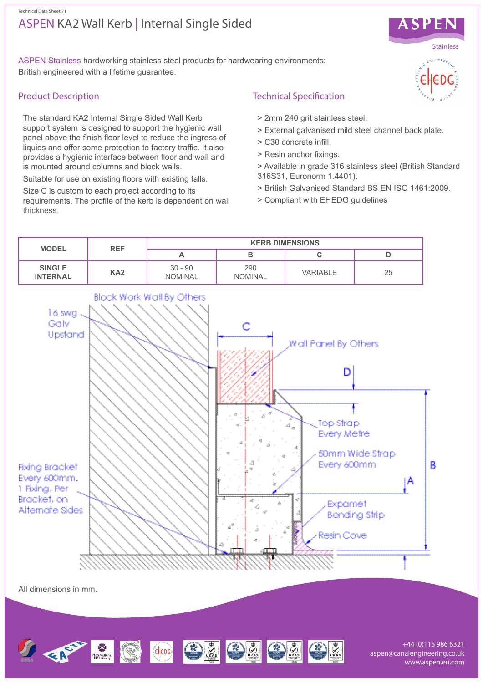## ASPEN KA2 Wall Kerb | Internal Single Sided Technical Data Sheet 71



ASPEN Stainless hardworking stainless steel products for hardwearing environments: British engineered with a lifetime guarantee.

# Product Description

The standard KA2 Internal Single Sided Wall Kerb support system is designed to support the hygienic wall panel above the finish floor level to reduce the ingress of liquids and offer some protection to factory traffic. It also provides a hygienic interface between floor and wall and is mounted around columns and block walls.

Suitable for use on existing floors with existing falls.

Size C is custom to each project according to its requirements. The profile of the kerb is dependent on wall thickness.

# Technical Specification

- > 2mm 240 grit stainless steel.
- > External galvanised mild steel channel back plate.
- > C30 concrete infill.
- > Resin anchor fixings.
- > Available in grade 316 stainless steel (British Standard 316S31, Euronorm 1.4401).
- > British Galvanised Standard BS EN ISO 1461:2009.
- > Compliant with EHEDG guidelines



Geography (2) 3 3 3 3 3 3

+44 (0)115 986 6321 aspen@canalengineering.co.uk www.aspen.eu.com